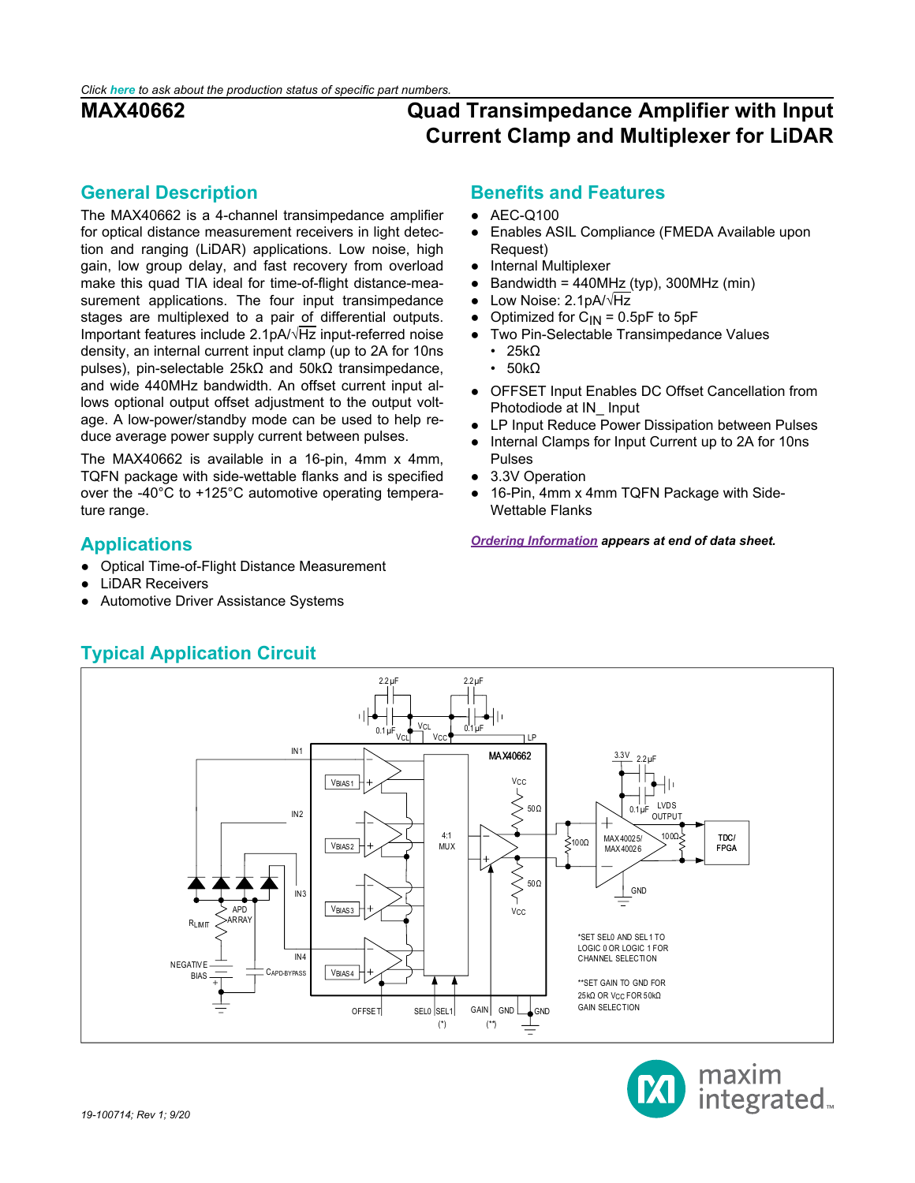### <span id="page-0-0"></span>**General Description**

The MAX40662 is a 4-channel transimpedance amplifier for optical distance measurement receivers in light detection and ranging (LiDAR) applications. Low noise, high gain, low group delay, and fast recovery from overload make this quad TIA ideal for time-of-flight distance-measurement applications. The four input transimpedance stages are multiplexed to a pair of differential outputs. Important features include 2.1pA/√Hz input-referred noise density, an internal current input clamp (up to 2A for 10ns pulses), pin-selectable 25kΩ and 50kΩ transimpedance, and wide 440MHz bandwidth. An offset current input allows optional output offset adjustment to the output voltage. A low-power/standby mode can be used to help reduce average power supply current between pulses.

The MAX40662 is available in a 16-pin, 4mm x 4mm, TQFN package with side-wettable flanks and is specified over the -40°C to +125°C automotive operating temperature range.

## <span id="page-0-1"></span>**Applications**

- Optical Time-of-Flight Distance Measurement
- **LiDAR Receivers**
- Automotive Driver Assistance Systems

### **Benefits and Features**

- AEC-Q100
- Enables ASIL Compliance (FMEDA Available upon Request)
- Internal Multiplexer
- Bandwidth =  $440MHz$  (typ), 300MHz (min)
- Low Noise: 2.1pA/√Hz
- Optimized for  $C_{IN} = 0.5pF$  to 5pF
- Two Pin-Selectable Transimpedance Values
	- 25kΩ
	- 50kΩ
- OFFSET Input Enables DC Offset Cancellation from Photodiode at IN\_ Input
- LP Input Reduce Power Dissipation between Pulses
- Internal Clamps for Input Current up to 2A for 10ns Pulses
- 3.3V Operation
- 16-Pin, 4mm x 4mm TQFN Package with Side-Wettable Flanks

*[Ordering Information](#page-18-0) appears at end of data sheet.*

<span id="page-0-2"></span>

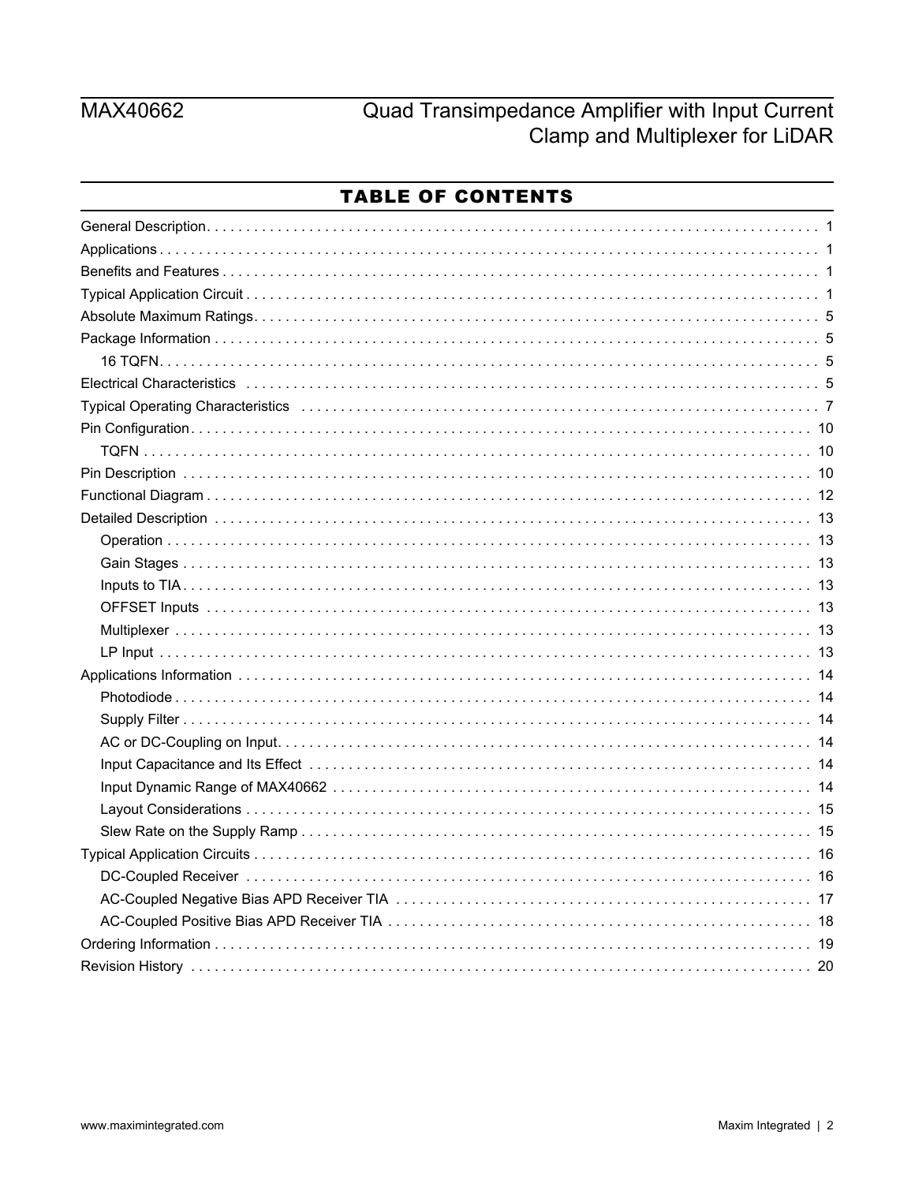# MAX40662

# Quad Transimpedance Amplifier with Input Current Clamp and Multiplexer for LiDAR

## **TABLE OF CONTENTS**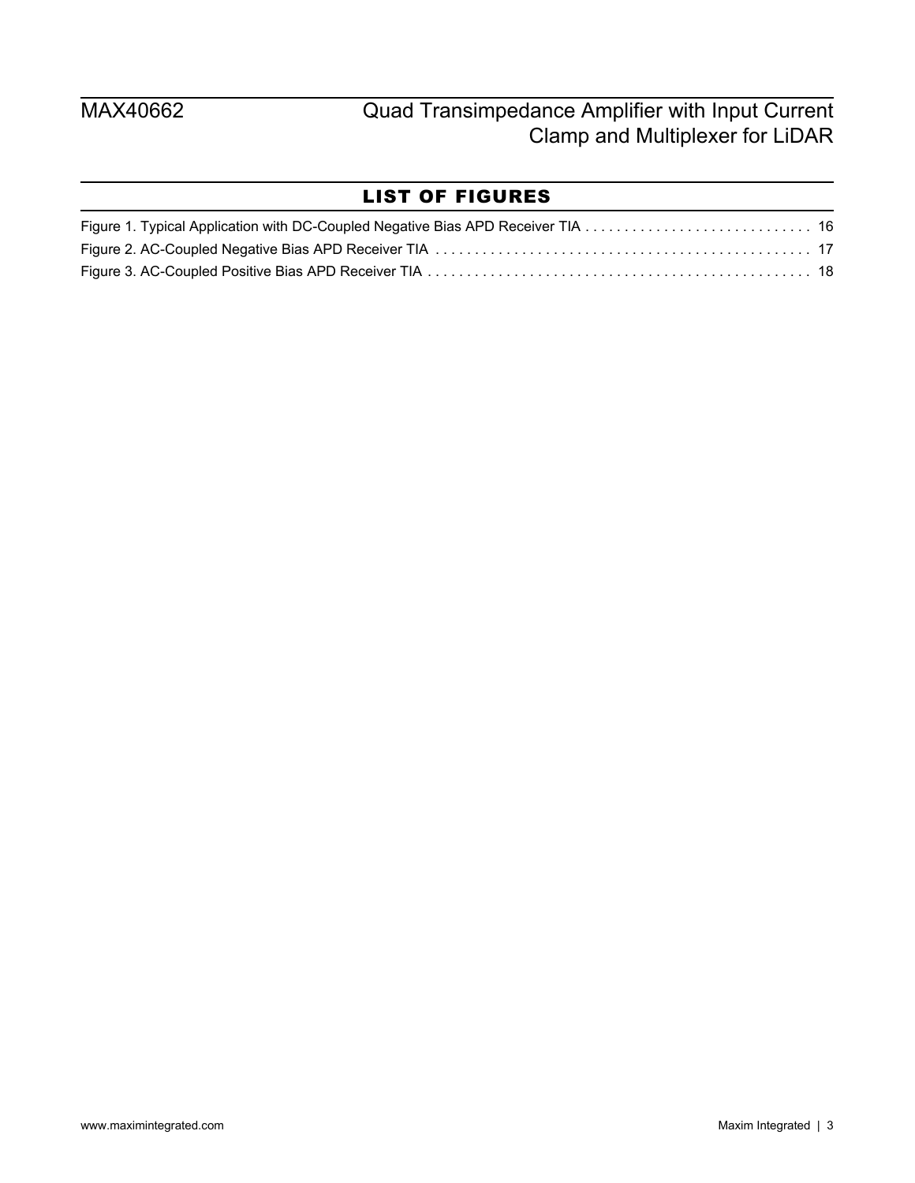## LIST OF FIGURES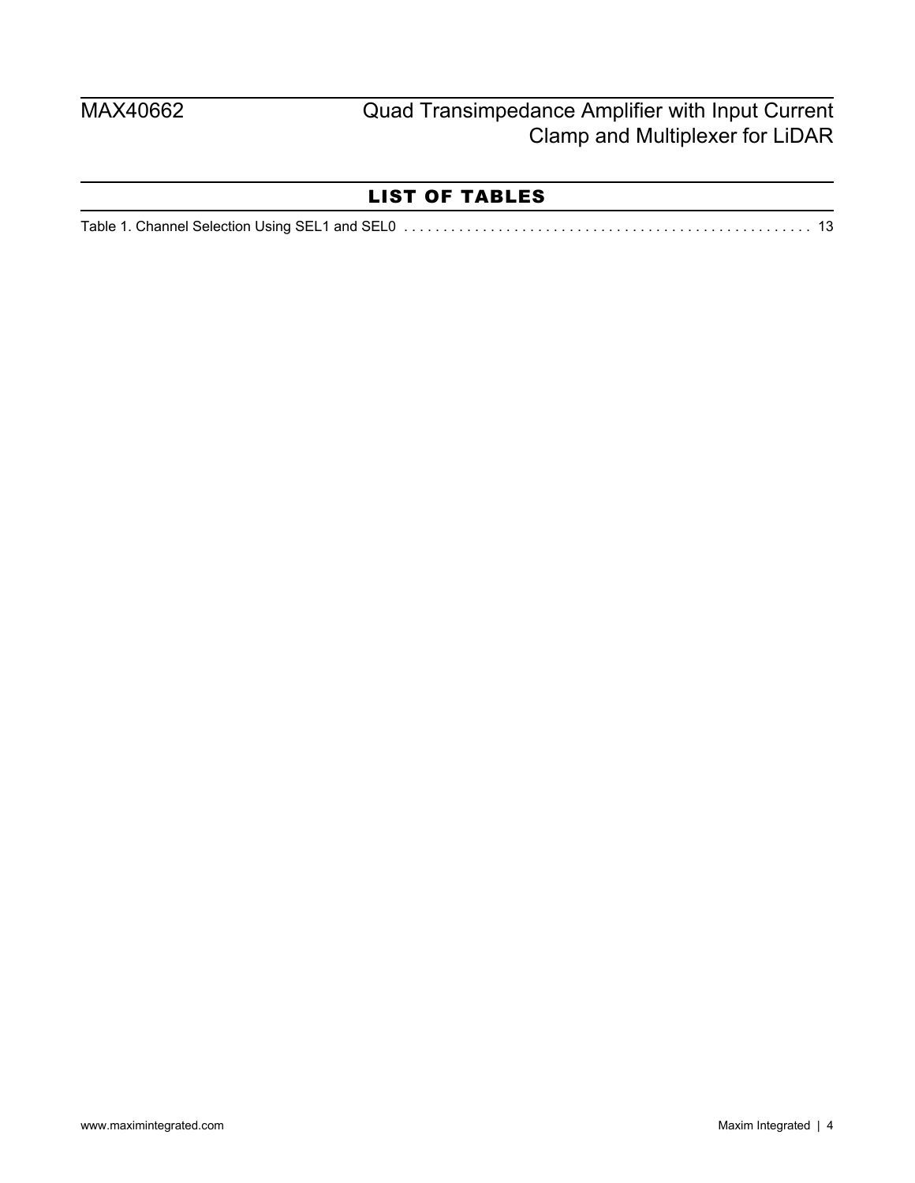## LIST OF TABLES

|--|--|--|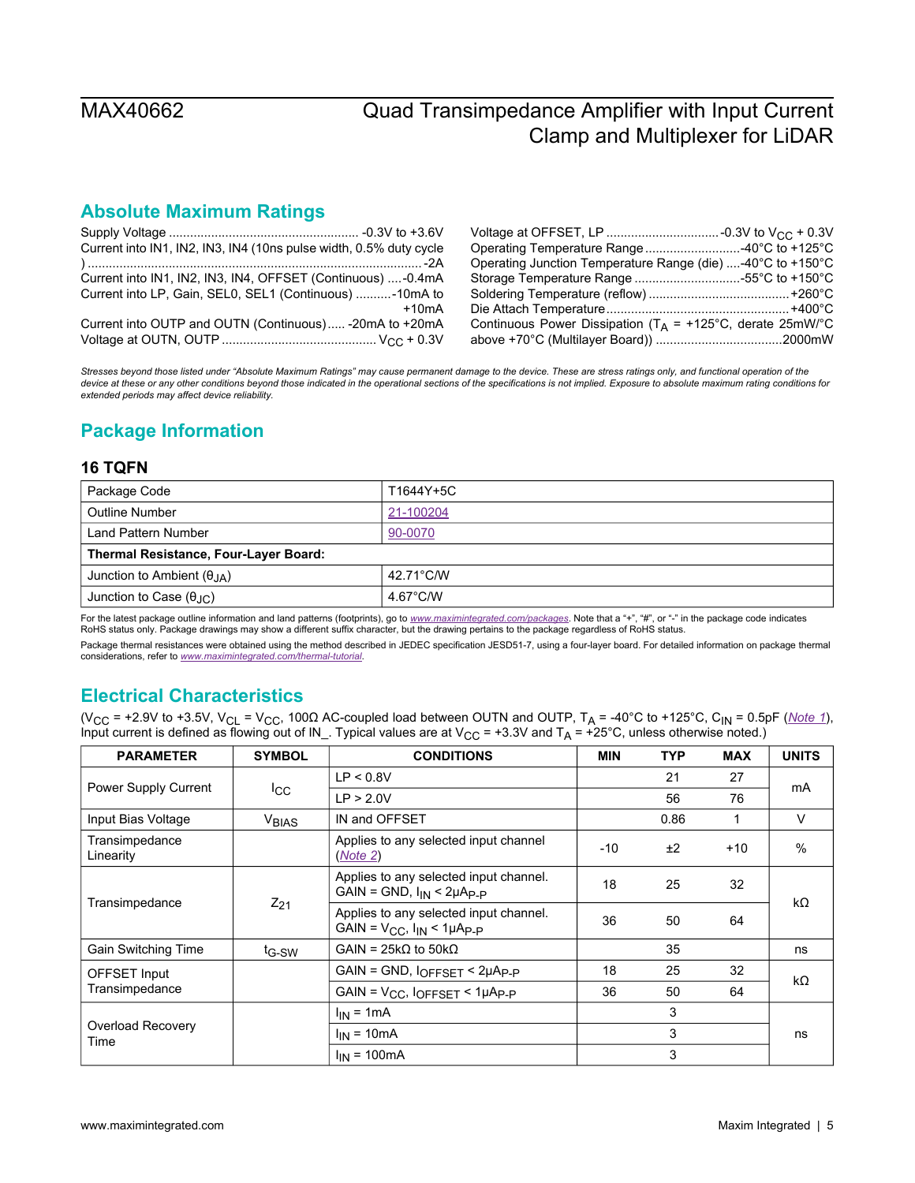## **Absolute Maximum Ratings**

<span id="page-4-0"></span>

| Current into IN1, IN2, IN3, IN4 (10ns pulse width, 0.5% duty cycle |         | Operating Temperature Range  -40°C to +125°C                  |  |
|--------------------------------------------------------------------|---------|---------------------------------------------------------------|--|
|                                                                    |         | Operating Junction Temperature Range (die) -40°C to +150°C    |  |
| Current into IN1, IN2, IN3, IN4, OFFSET (Continuous) -0.4mA        |         | Storage Temperature Range 55°C to +150°C                      |  |
| Current into LP, Gain, SEL0, SEL1 (Continuous) -10mA to            |         |                                                               |  |
|                                                                    | $+10mA$ |                                                               |  |
| Current into OUTP and OUTN (Continuous) -20mA to +20mA             |         | Continuous Power Dissipation ( $T_A$ = +125°C, derate 25mW/°C |  |
|                                                                    |         |                                                               |  |

*Stresses beyond those listed under "Absolute Maximum Ratings" may cause permanent damage to the device. These are stress ratings only, and functional operation of the device at these or any other conditions beyond those indicated in the operational sections of the specifications is not implied. Exposure to absolute maximum rating conditions for extended periods may affect device reliability.*

## <span id="page-4-1"></span>**Package Information**

### <span id="page-4-2"></span>**16 TQFN**

| Package Code                              | T1644Y+5C          |  |  |  |
|-------------------------------------------|--------------------|--|--|--|
| Outline Number                            | 21-100204          |  |  |  |
| Land Pattern Number                       | 90-0070            |  |  |  |
| Thermal Resistance, Four-Layer Board:     |                    |  |  |  |
| Junction to Ambient $(\theta_{IA})$       | 42.71°C/W          |  |  |  |
| Junction to Case $(\theta_{\cdot} \cdot)$ | $4.67^{\circ}$ C/W |  |  |  |

For the latest package outline information and land patterns (footprints), go to *[www.maximintegrated.com/packages](http://www.maximintegrated.com/packages)*. Note that a "+", "#", or "-" in the package code indicates RoHS status only. Package drawings may show a different suffix character, but the drawing pertains to the package regardless of RoHS status.

Package thermal resistances were obtained using the method described in JEDEC specification JESD51-7, using a four-layer board. For detailed information on package thermal considerations, refer to *[www.maximintegrated.com/thermal-tutorial](http://www.maximintegrated.com/thermal-tutorial)*.

## <span id="page-4-3"></span>**Electrical Characteristics**

(VCC = +2.9V to +3.5V, VCL = VCC, 100Ω AC-coupled load between OUTN and OUTP, TA = -40°C to +125°C, CIN = 0.5pF (*[Note 1](#page-5-0)*), Input current is defined as flowing out of IN\_. Typical values are at  $V_{CC}$  = +3.3V and T<sub>A</sub> = +25°C, unless otherwise noted.)

| <b>PARAMETER</b>            | <b>SYMBOL</b>           | <b>CONDITIONS</b>                                                                | MIN   | <b>TYP</b> | <b>MAX</b> | <b>UNITS</b> |
|-----------------------------|-------------------------|----------------------------------------------------------------------------------|-------|------------|------------|--------------|
|                             |                         | LP < 0.8V                                                                        |       | 21         | 27         |              |
| <b>Power Supply Current</b> | $_{\rm{lcc}}$           | LP > 2.0V                                                                        |       | 56         | 76         | mA           |
| Input Bias Voltage          | <b>V<sub>BIAS</sub></b> | IN and OFFSET                                                                    |       | 0.86       |            | V            |
| Transimpedance<br>Linearity |                         | Applies to any selected input channel<br>(Note 2)                                | $-10$ | ±2         | $+10$      | $\%$         |
| Transimpedance              | $Z_{21}$                | Applies to any selected input channel.<br>$GAIN = GND$ , $I_{IN} < 2\mu A_{P-P}$ | 18    | 25         | 32         | $k\Omega$    |
|                             |                         | Applies to any selected input channel.<br>GAIN = $V_{CC}$ , $I_{IN}$ < 1µAp_p    | 36    | 50         | 64         |              |
| Gain Switching Time         | $t_{\text{G-SW}}$       | $GAIN = 25k\Omega$ to $50k\Omega$                                                |       | 35         |            | ns           |
| OFFSET Input                |                         | $GAIN = GND$ , $I_{OFFSET}$ < $2\mu A_{P-P}$                                     | 18    | 25         | 32         | kΩ           |
| Transimpedance              |                         | $GAIN = V_{CC}$ , $I_{OFFSET}$ < $1\mu A_{P-P}$                                  | 36    | 50         | 64         |              |
| Overload Recovery<br>Time   |                         | $I_{IN}$ = 1mA                                                                   |       | 3          |            |              |
|                             |                         | $I_{IN}$ = 10mA                                                                  |       | 3          |            | ns           |
|                             |                         | $I_{IN}$ = 100mA                                                                 |       | 3          |            |              |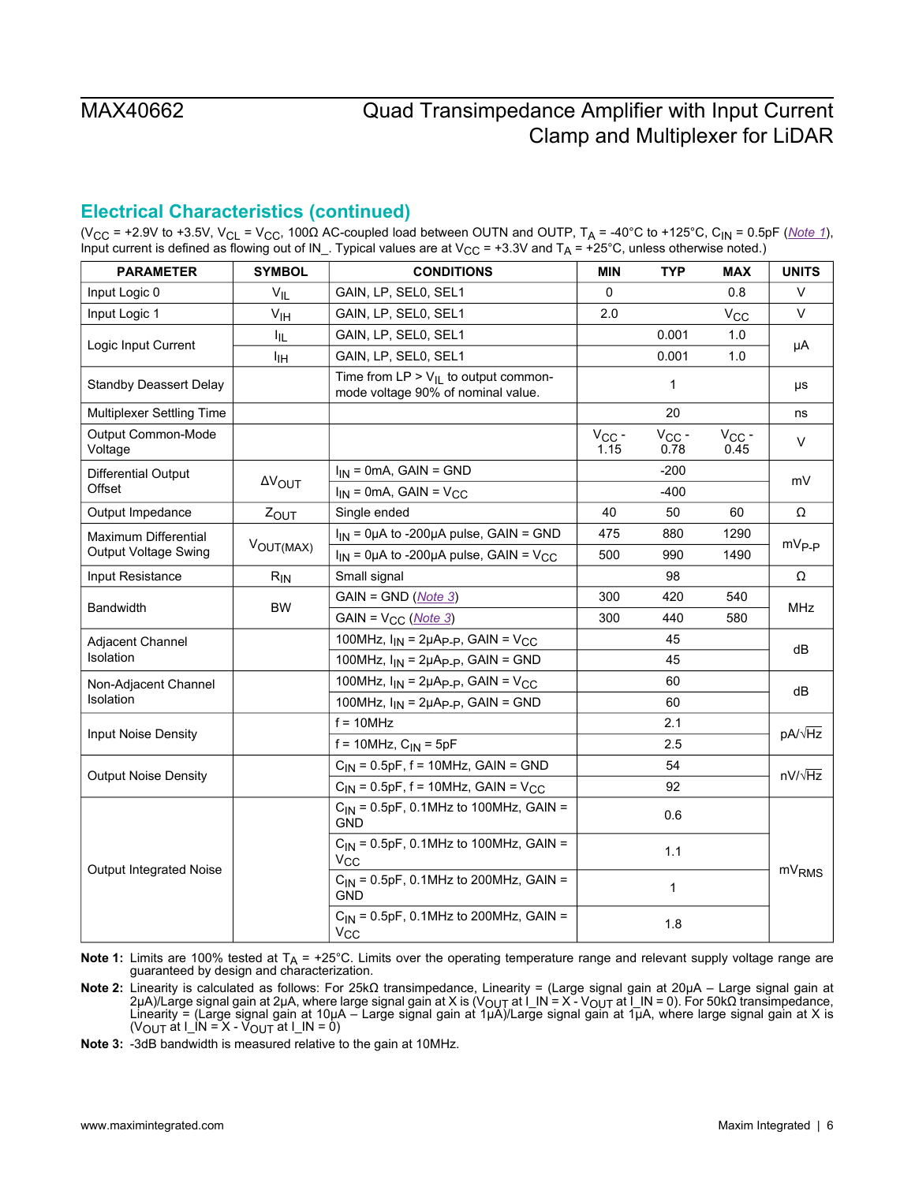## **Electrical Characteristics (continued)**

(V<sub>CC</sub> = +2.9V to +3.5V, V<sub>CL</sub> = V<sub>CC</sub>, 100 $\Omega$  AC-coupled load between OUTN and OUTP, T<sub>A</sub> = -40°C to +125°C, C<sub>IN</sub> = 0.5pF (*[Note 1](#page-5-0)*), Input current is defined as flowing out of IN\_. Typical values are at  $V_{CC}$  = +3.3V and T<sub>A</sub> = +25°C, unless otherwise noted.)

| <b>PARAMETER</b>               | <b>SYMBOL</b>   | <b>CONDITIONS</b>                                                               | MIN                | <b>TYP</b>         | <b>MAX</b>         | <b>UNITS</b>      |  |
|--------------------------------|-----------------|---------------------------------------------------------------------------------|--------------------|--------------------|--------------------|-------------------|--|
| Input Logic 0                  | $V_{IL}$        | GAIN, LP, SEL0, SEL1                                                            | $\mathbf{0}$       |                    | 0.8                | V                 |  |
| Input Logic 1                  | V <sub>IH</sub> | GAIN, LP, SEL0, SEL1                                                            | 2.0                |                    | $V_{\rm CC}$       | $\vee$            |  |
|                                | I <sub>IL</sub> | GAIN, LP, SEL0, SEL1                                                            |                    | 0.001              | 1.0                | μA                |  |
| Logic Input Current            | ŀщ              | GAIN, LP, SEL0, SEL1                                                            |                    | 0.001              | 1.0                |                   |  |
| <b>Standby Deassert Delay</b>  |                 | Time from $LP > V_{IL}$ to output common-<br>mode voltage 90% of nominal value. |                    | $\mathbf{1}$       |                    | μs                |  |
| Multiplexer Settling Time      |                 |                                                                                 |                    | 20                 |                    | ns                |  |
| Output Common-Mode<br>Voltage  |                 |                                                                                 | $V_{CC}$ -<br>1.15 | $V_{CC}$ -<br>0.78 | $V_{CC}$ -<br>0.45 | V                 |  |
| Differential Output            |                 | $I_{IN}$ = 0mA, GAIN = GND                                                      |                    | $-200$             |                    | mV                |  |
| Offset                         | <b>AVOUT</b>    | $I_{IN}$ = 0mA, GAIN = $V_{CC}$                                                 |                    | $-400$             |                    |                   |  |
| Output Impedance               | ZOUT            | Single ended                                                                    | 40                 | 50                 | 60                 | Ω                 |  |
| Maximum Differential           |                 | $I_{IN}$ = 0µA to -200µA pulse, GAIN = GND                                      | 475                | 880                | 1290               |                   |  |
| <b>Output Voltage Swing</b>    | VOUT(MAX)       | $I_{IN}$ = 0µA to -200µA pulse, GAIN = V <sub>CC</sub>                          | 500                | 990                | 1490               | $mV_{P-P}$        |  |
| Input Resistance               | $R_{IN}$        | Small signal                                                                    |                    | 98                 |                    | Ω                 |  |
| <b>Bandwidth</b>               | <b>BW</b>       | $GAIN = GND (Note 3)$                                                           | 300                | 420                | 540                |                   |  |
|                                |                 | GAIN = V <sub>CC</sub> (Note 3)                                                 | 300                | 440                | 580                | <b>MHz</b>        |  |
| Adjacent Channel               |                 | 100MHz, $I_{IN}$ = 2µA <sub>P-P</sub> , GAIN = V <sub>CC</sub>                  |                    | 45                 |                    | dB                |  |
| Isolation                      |                 | 100MHz, $I_{IN} = 2\mu A_{P-P}$ , GAIN = GND                                    |                    | 45                 |                    |                   |  |
| Non-Adjacent Channel           |                 | 100MHz, $I_{IN}$ = 2µA <sub>P-P</sub> , GAIN = V <sub>CC</sub>                  |                    | 60                 |                    |                   |  |
| Isolation                      |                 | 100MHz, $I_{IN} = 2\mu A_{P-P}$ , GAIN = GND                                    |                    | 60                 |                    | dB                |  |
| Input Noise Density            |                 | $f = 10$ MHz                                                                    |                    | 2.1                |                    | pA/ $\sqrt{Hz}$   |  |
|                                |                 | $f = 10$ MHz, $C_{IN} = 5pF$                                                    |                    | 2.5                |                    |                   |  |
|                                |                 | $C_{1N}$ = 0.5pF, f = 10MHz, GAIN = GND                                         |                    | 54                 |                    | $nV/\sqrt{Hz}$    |  |
| <b>Output Noise Density</b>    |                 | $C_{1N}$ = 0.5pF, f = 10MHz, GAIN = V <sub>CC</sub>                             |                    | 92                 |                    |                   |  |
|                                |                 | $C_{1N}$ = 0.5pF, 0.1MHz to 100MHz, GAIN =<br>GND                               |                    | 0.6                |                    |                   |  |
| <b>Output Integrated Noise</b> |                 | $C_{1N}$ = 0.5pF, 0.1MHz to 100MHz, GAIN =<br>$V_{CC}$                          |                    | 1.1                |                    |                   |  |
|                                |                 | $C_{IN}$ = 0.5pF, 0.1MHz to 200MHz, GAIN =<br><b>GND</b>                        |                    | 1                  |                    | mV <sub>RMS</sub> |  |
|                                |                 | $C_{1N}$ = 0.5pF, 0.1MHz to 200MHz, GAIN =<br>$V_{CC}$                          |                    | 1.8                |                    |                   |  |

<span id="page-5-0"></span>Note 1: Limits are 100% tested at T<sub>A</sub> = +25°C. Limits over the operating temperature range and relevant supply voltage range are<br>guaranteed by design and characterization.

<span id="page-5-1"></span>**Note 2:** Linearity is calculated as follows: For 25kΩ transimpedance, Linearity = (Large signal gain at 20µA – Large signal gain at 2μA)/Large signal gain at 2μA, where large signal gain at X is (V<sub>OUT</sub> at Ĭ\_IN = X - V<sub>OUT</sub> at Ĭ\_IN = 0). For 50kΩ transimpedance,<br>Linearity = (Large signal gain at 10μA – Large signal gain at 1μA)/Large signal gain at 1μ (V<sub>OUT</sub> at I\_IN = X - V<sub>OUT</sub> at I\_IN = 0)

<span id="page-5-2"></span>**Note 3:** -3dB bandwidth is measured relative to the gain at 10MHz.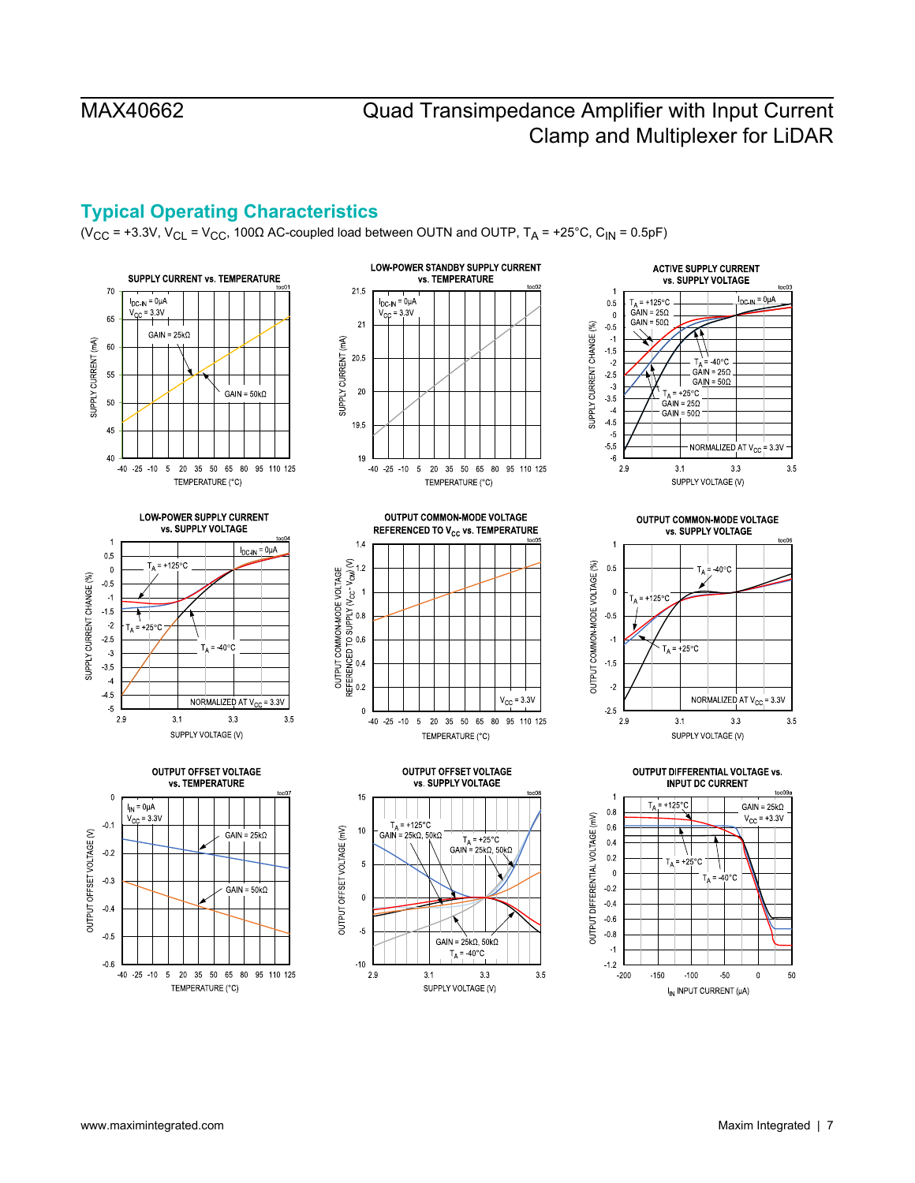## <span id="page-6-0"></span>**Typical Operating Characteristics**

(V<sub>CC</sub> = +3.3V, V<sub>CL</sub> = V<sub>CC</sub>, 100 $\Omega$  AC-coupled load between OUTN and OUTP, T<sub>A</sub> = +25°C, C<sub>IN</sub> = 0.5pF)





**ACTIVE SUPPLY CURRENT** vs. SUPPLY VOLTAGE  $D_{\text{C-IN}} = 0 \mu A$  $0.5$  $= +125^{\circ}$ C  $A = +125$ °C<br>GAIN = 250  $\mathbf{0}$  $\mathsf{GAN} = 50\Omega$  $0.5$ SUPPLY CURRENT CHANGE (%)  $-1$  $-1.5$  $\frac{1}{4}$  = 40°C  $-2$  $GAN = 25\Omega$  $2.5$  $GAIN = 50 $\Omega$$  $\overline{\phantom{a}}$  $= +25^{\circ}$ C  $3.5$  $GAIN = 250$  $-4$ GAIN =  $50\Omega$  $4.5$  $-5$  $-5.5$ NORMALIZED AT V<sub>CC</sub> = 3.3V  $\,$  6  $2.9\,$  $3.1$  $3.3$  $3.5$ SUPPLY VOLTAGE (V)

**LOW-POWER SUPPLY CURRENT** vs. SUPPLY VOLTAGE  $\overline{1}$ 





OUTPUT OFFSET VOLTAGE

vs. SUPPLY VOLTAGE

 $T_A = +25^{\circ}C$ 

 $GAIN = 25k\Omega$ , 50k $\Omega$ 

GAIN =  $25k\Omega$ , 50k $\Omega$ 

 $T_A = 40^{\circ}$ C

SUPPLY VOLTAGE (V)

 $33$ 

 $3.5$ 

15

 $10$ 

 $\overline{5}$ 

 $\mathbf 0$ 

 $-5$ 

 $-10$ 

 $2.9$ 

OUTPUT OFFSET VOLTAGE (mV)

 $T_A$  = +125°C

= 25k $\Omega$ , 50k $\Omega$ 

 $3.1$ 

GAIN





OUTPUT DIFFERENTIAL VOLTAGE vs. **INPUT DC CURRENT** 1  $+125^\circ$  $GAIN = 25k\Omega$  $0.8$  $V_{CC}$  = +3.3V  $0.6$  $0.4$  $0.2$  $T_A$  = +25°C  $\overline{\phantom{0}}$  $T_A = 40^{\circ}$ C  $0.2$  $0.4$  $0.6$  $0.8$  $\mathcal{A}$  $-1.2$  $-200$  $-150$  $-100$  $-50$  $\mathbf{0}$ 50

I<sub>IN</sub> INPUT CURRENT (µA)







OUTPUT COMMON-MODE VOLTAGE

www.maximintegrated.com **Maxim Integrated | 7**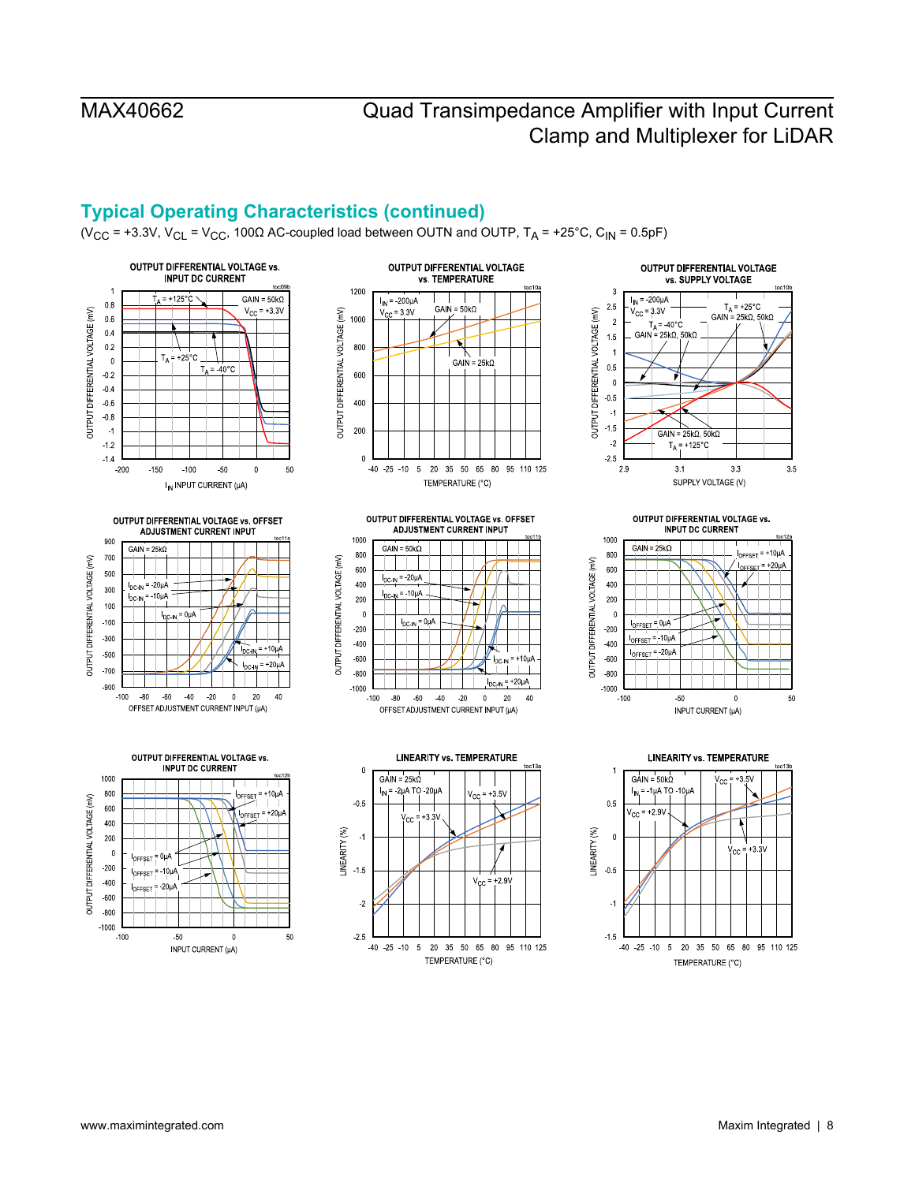## **Typical Operating Characteristics (continued)**

(V<sub>CC</sub> = +3.3V, V<sub>CL</sub> = V<sub>CC</sub>, 100 $\Omega$  AC-coupled load between OUTN and OUTP, T<sub>A</sub> = +25°C, C<sub>IN</sub> = 0.5pF)



OUTPUT DIFFERENTIAL VOLTAGE vs. OFFSET

**ADJUSTMENT CURRENT INPUT** 

 $= 0uA$ 

900

700

500

300

100

 $-100$ 

 $-300$ 

 $-500$ 

-700

 $-900$ 

 $-100$  $-80$  $-60$  $-40$  $-20$ 

OUTPUT DIFFERENTIAL VOLTAGE (mV)

 $GAIN = 25kC$ 

 $I_{DCIM}$  = -20µA

**DC.IN** 

=  $10 \mu$ <sup> $\mu$ </sup>



OUTPUT DIFFERENTIAL VOLTAGE vs. OFFSET **ADJUSTMENT CURRENT INPUT** 



 $+3.5\sqrt{ }$ 

7

 $+2.9V$ 

95 110 125



**OUTPUT DIFFERENTIAL VOLTAGE vs. INPUT DC CURRENT** 1000  $GAN = 25k\Omega$  $I_{\text{OFFSET}}$  = +10 $\mu$ A 800 OUTPUT DIFFERENTIAL VOLTAGE (mV)  $I<sub>over</sub> = +20<sub>U</sub>A$ 600 400 200  $\mathbf{0}$  $I<sub>OFFSET</sub> = 0<sub>µ</sub>A$  $-200$ OFFSET = 10µA 400  $F = 20 \mu$  $-600$  $-800$  $-1000$  $-100$ 50  $\overline{0}$ 50 INPUT CURRENT (µA)







INPUT CURRENT (µA)

 $+10<sub>u</sub>A$  $= +20uA$ C4M  $\mathbf{0}$  $20$ 40 OFFSET ADJUSTMENT CURRENT INPUT (µA)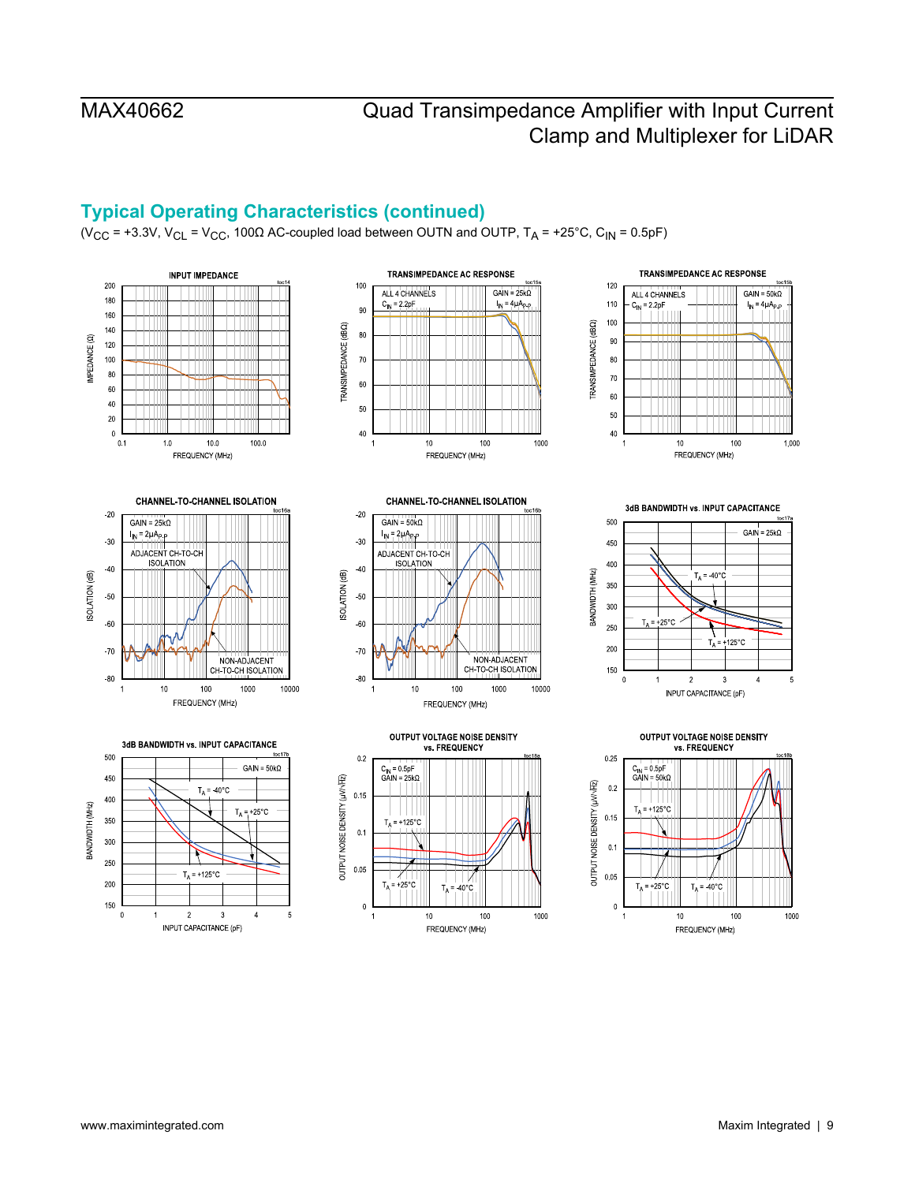## **Typical Operating Characteristics (continued)**

(V<sub>CC</sub> = +3.3V, V<sub>CL</sub> = V<sub>CC</sub>, 100 $\Omega$  AC-coupled load between OUTN and OUTP, T<sub>A</sub> = +25°C, C<sub>IN</sub> = 0.5pF)

















3dB BANDWIDTH vs. INPUT CAPACITANCE



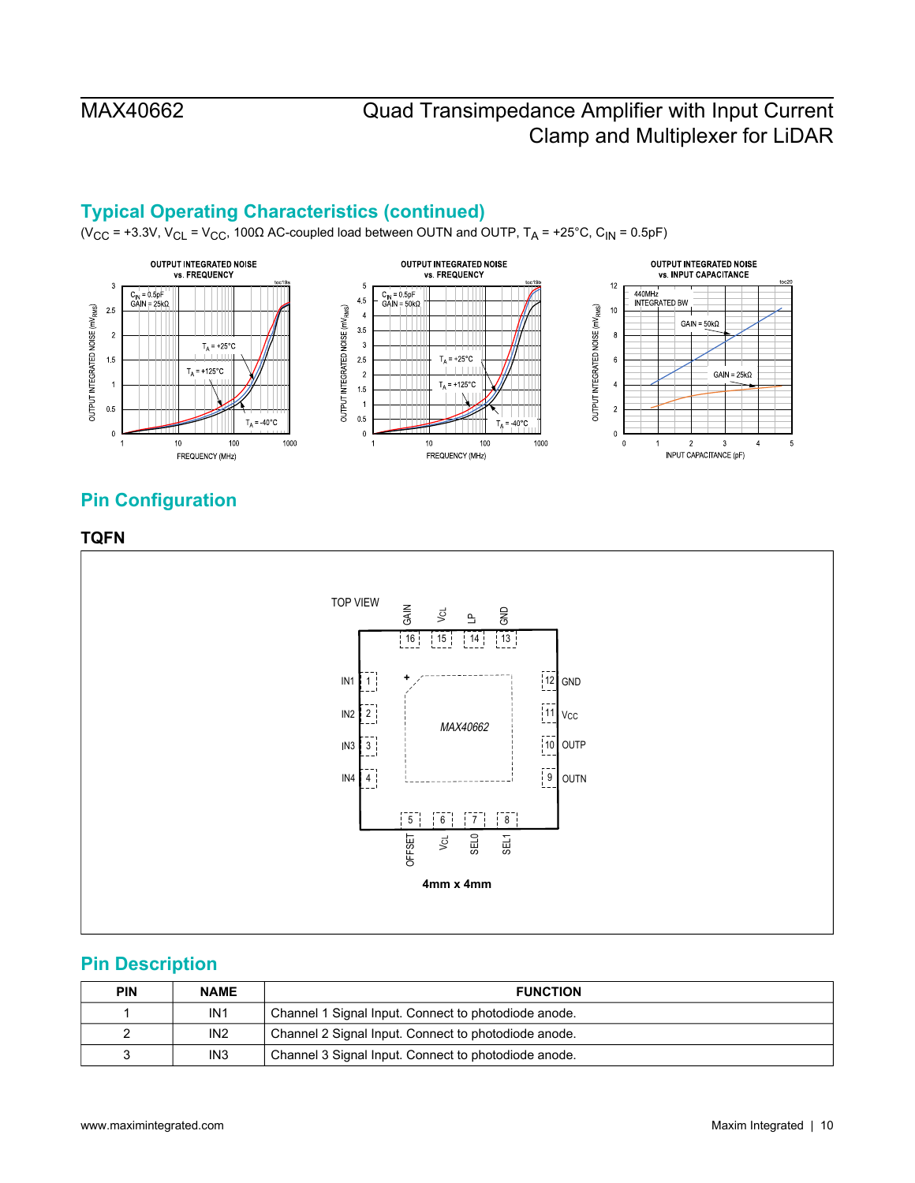## **Typical Operating Characteristics (continued)**

(V<sub>CC</sub> = +3.3V, V<sub>CL</sub> = V<sub>CC</sub>, 100 $\Omega$  AC-coupled load between OUTN and OUTP, T<sub>A</sub> = +25°C, C<sub>IN</sub> = 0.5pF)



## <span id="page-9-0"></span>**Pin Configuration**

### **TQFN**

<span id="page-9-1"></span>

## <span id="page-9-2"></span>**Pin Description**

| <b>PIN</b> | <b>NAME</b>     | <b>FUNCTION</b>                                      |
|------------|-----------------|------------------------------------------------------|
|            | IN <sub>1</sub> | Channel 1 Signal Input. Connect to photodiode anode. |
| ۷          | IN <sub>2</sub> | Channel 2 Signal Input. Connect to photodiode anode. |
| ว          | IN <sub>3</sub> | Channel 3 Signal Input. Connect to photodiode anode. |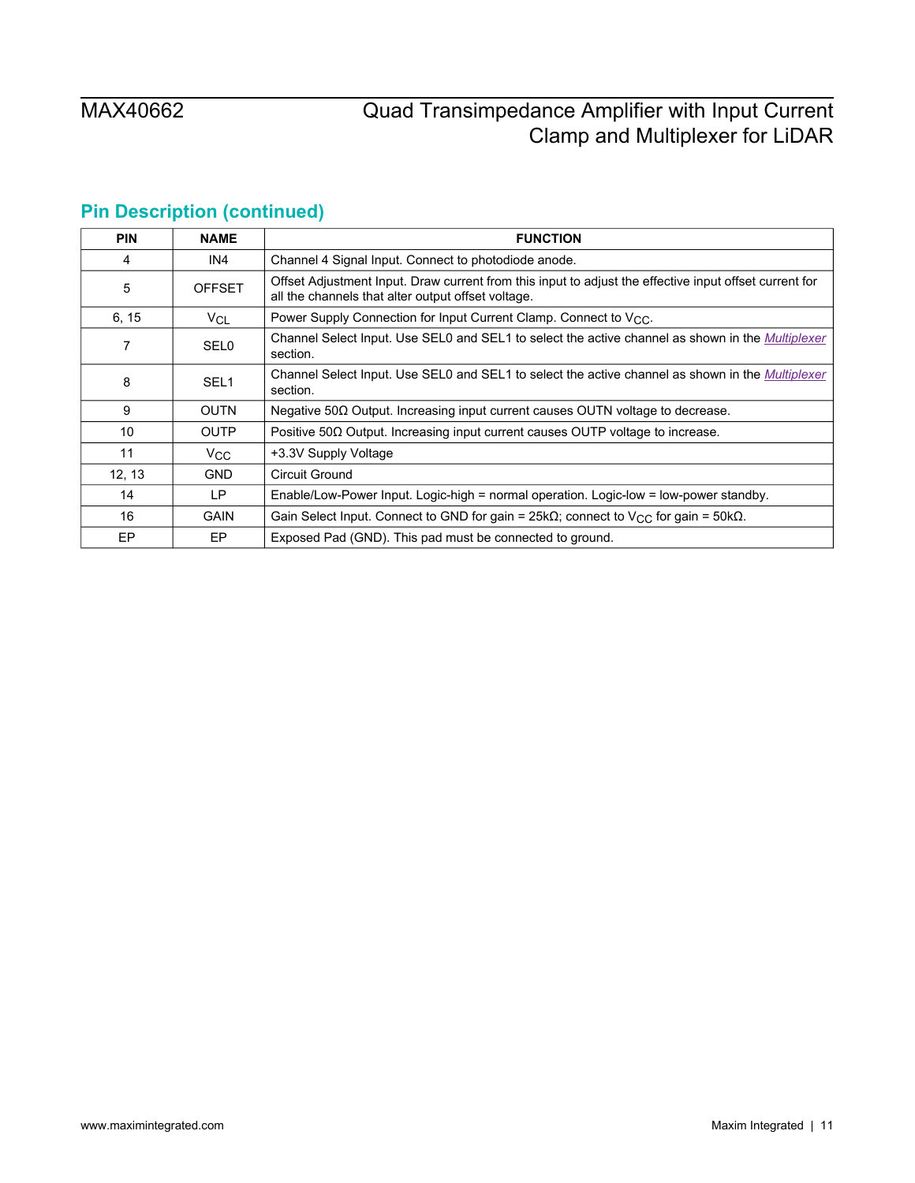# **Pin Description (continued)**

| <b>PIN</b> | <b>NAME</b>      | <b>FUNCTION</b>                                                                                                                                              |
|------------|------------------|--------------------------------------------------------------------------------------------------------------------------------------------------------------|
| 4          | IN4              | Channel 4 Signal Input. Connect to photodiode anode.                                                                                                         |
| 5          | <b>OFFSET</b>    | Offset Adjustment Input. Draw current from this input to adjust the effective input offset current for<br>all the channels that alter output offset voltage. |
| 6, 15      | $V_{CL}$         | Power Supply Connection for Input Current Clamp. Connect to $V_{CC}$ .                                                                                       |
| 7          | <b>SEL0</b>      | Channel Select Input. Use SEL0 and SEL1 to select the active channel as shown in the Multiplexer<br>section.                                                 |
| 8          | SEL <sub>1</sub> | Channel Select Input. Use SEL0 and SEL1 to select the active channel as shown in the <i>Multiplexer</i><br>section.                                          |
| 9          | <b>OUTN</b>      | Negative $50\Omega$ Output. Increasing input current causes OUTN voltage to decrease.                                                                        |
| 10         | <b>OUTP</b>      | Positive $50\Omega$ Output. Increasing input current causes OUTP voltage to increase.                                                                        |
| 11         | $V_{\rm CC}$     | +3.3V Supply Voltage                                                                                                                                         |
| 12, 13     | <b>GND</b>       | Circuit Ground                                                                                                                                               |
| 14         | LP.              | Enable/Low-Power Input. Logic-high = normal operation. Logic-low = low-power standby.                                                                        |
| 16         | <b>GAIN</b>      | Gain Select Input. Connect to GND for gain = 25k $\Omega$ ; connect to V <sub>CC</sub> for gain = 50k $\Omega$ .                                             |
| EP         | EP.              | Exposed Pad (GND). This pad must be connected to ground.                                                                                                     |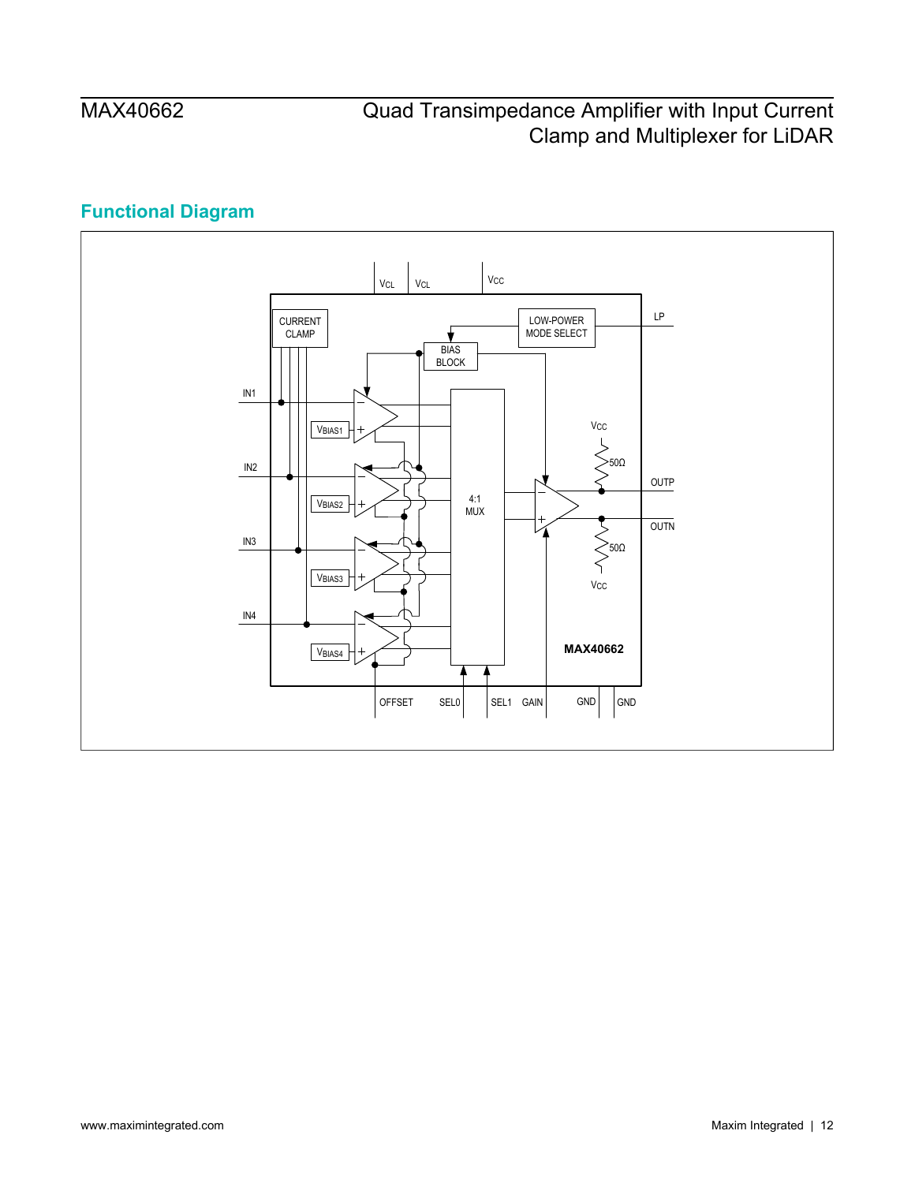# **Functional Diagram**

<span id="page-11-0"></span>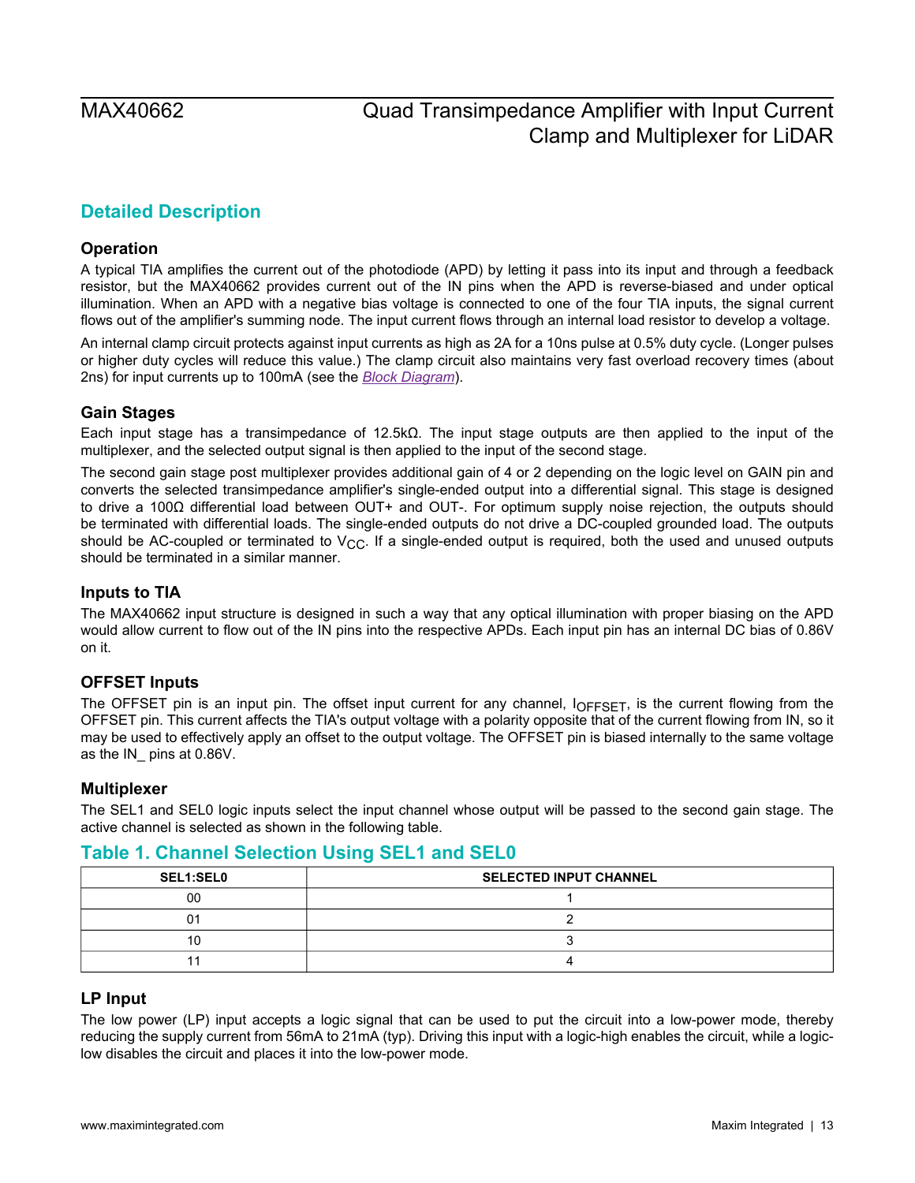## <span id="page-12-0"></span>**Detailed Description**

### <span id="page-12-1"></span>**Operation**

A typical TIA amplifies the current out of the photodiode (APD) by letting it pass into its input and through a feedback resistor, but the MAX40662 provides current out of the IN pins when the APD is reverse-biased and under optical illumination. When an APD with a negative bias voltage is connected to one of the four TIA inputs, the signal current flows out of the amplifier's summing node. The input current flows through an internal load resistor to develop a voltage.

An internal clamp circuit protects against input currents as high as 2A for a 10ns pulse at 0.5% duty cycle. (Longer pulses or higher duty cycles will reduce this value.) The clamp circuit also maintains very fast overload recovery times (about 2ns) for input currents up to 100mA (see the *[Block Diagram](#page-0-2)*).

### <span id="page-12-2"></span>**Gain Stages**

Each input stage has a transimpedance of 12.5kΩ. The input stage outputs are then applied to the input of the multiplexer, and the selected output signal is then applied to the input of the second stage.

The second gain stage post multiplexer provides additional gain of 4 or 2 depending on the logic level on GAIN pin and converts the selected transimpedance amplifier's single-ended output into a differential signal. This stage is designed to drive a 100Ω differential load between OUT+ and OUT-. For optimum supply noise rejection, the outputs should be terminated with differential loads. The single-ended outputs do not drive a DC-coupled grounded load. The outputs should be AC-coupled or terminated to  $V_{CC}$ . If a single-ended output is required, both the used and unused outputs should be terminated in a similar manner.

### <span id="page-12-3"></span>**Inputs to TIA**

The MAX40662 input structure is designed in such a way that any optical illumination with proper biasing on the APD would allow current to flow out of the IN pins into the respective APDs. Each input pin has an internal DC bias of 0.86V on it.

### <span id="page-12-4"></span>**OFFSET Inputs**

The OFFSET pin is an input pin. The offset input current for any channel, IOFFSET, is the current flowing from the OFFSET pin. This current affects the TIA's output voltage with a polarity opposite that of the current flowing from IN, so it may be used to effectively apply an offset to the output voltage. The OFFSET pin is biased internally to the same voltage as the IN\_ pins at 0.86V.

### <span id="page-12-5"></span>**Multiplexer**

The SEL1 and SEL0 logic inputs select the input channel whose output will be passed to the second gain stage. The active channel is selected as shown in the following table.

### <span id="page-12-7"></span>**Table 1. Channel Selection Using SEL1 and SEL0**

| <b>SEL1:SEL0</b> | <b>SELECTED INPUT CHANNEL</b> |
|------------------|-------------------------------|
| 00               |                               |
|                  |                               |
|                  |                               |
|                  |                               |

### <span id="page-12-6"></span>**LP Input**

The low power (LP) input accepts a logic signal that can be used to put the circuit into a low-power mode, thereby reducing the supply current from 56mA to 21mA (typ). Driving this input with a logic-high enables the circuit, while a logiclow disables the circuit and places it into the low-power mode.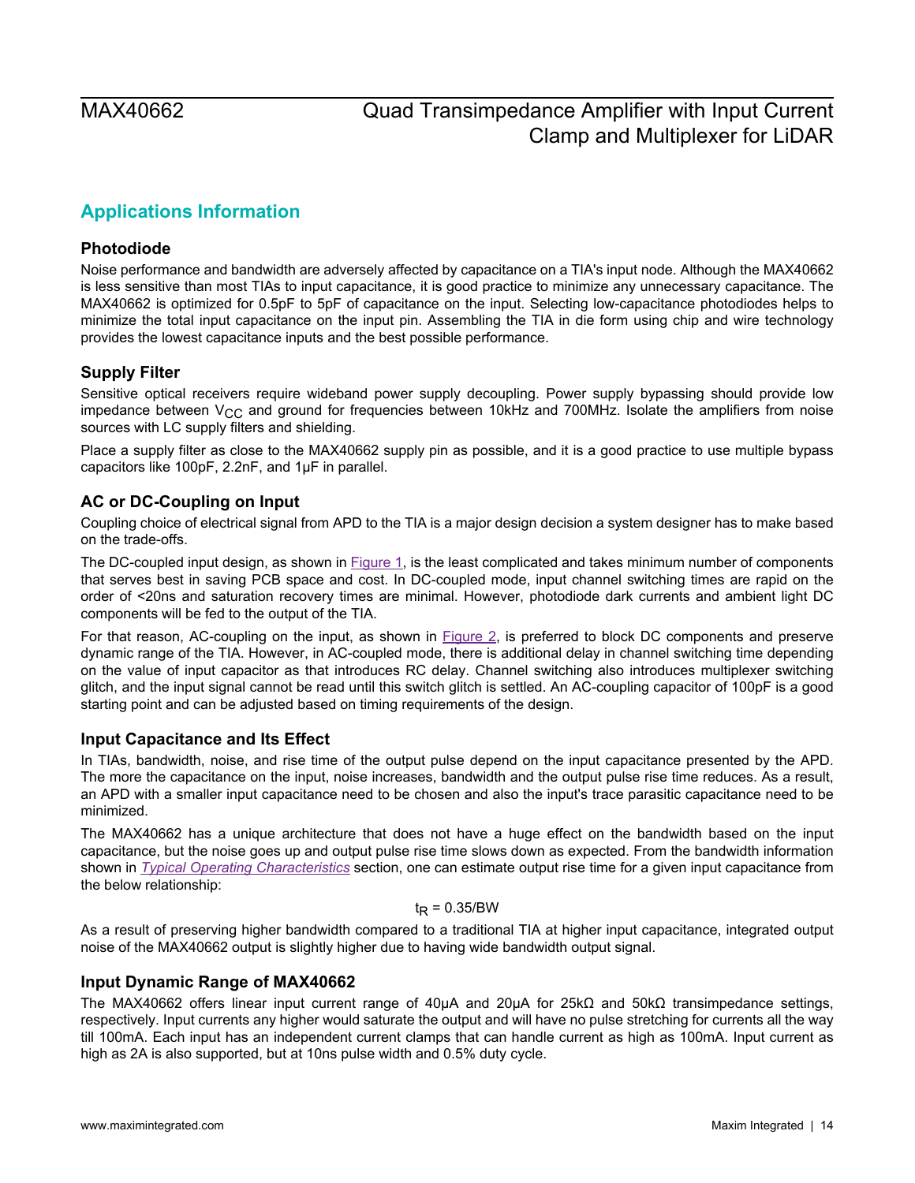# <span id="page-13-0"></span>**Applications Information**

### <span id="page-13-1"></span>**Photodiode**

Noise performance and bandwidth are adversely affected by capacitance on a TIA's input node. Although the MAX40662 is less sensitive than most TIAs to input capacitance, it is good practice to minimize any unnecessary capacitance. The MAX40662 is optimized for 0.5pF to 5pF of capacitance on the input. Selecting low-capacitance photodiodes helps to minimize the total input capacitance on the input pin. Assembling the TIA in die form using chip and wire technology provides the lowest capacitance inputs and the best possible performance.

### <span id="page-13-2"></span>**Supply Filter**

Sensitive optical receivers require wideband power supply decoupling. Power supply bypassing should provide low impedance between  $V_{CC}$  and ground for frequencies between 10kHz and 700MHz. Isolate the amplifiers from noise sources with LC supply filters and shielding.

Place a supply filter as close to the MAX40662 supply pin as possible, and it is a good practice to use multiple bypass capacitors like 100pF, 2.2nF, and 1μF in parallel.

### <span id="page-13-3"></span>**AC or DC-Coupling on Input**

Coupling choice of electrical signal from APD to the TIA is a major design decision a system designer has to make based on the trade-offs.

The DC-coupled input design, as shown in **Figure 1**, is the least complicated and takes minimum number of components that serves best in saving PCB space and cost. In DC-coupled mode, input channel switching times are rapid on the order of <20ns and saturation recovery times are minimal. However, photodiode dark currents and ambient light DC components will be fed to the output of the TIA.

For that reason, AC-coupling on the input, as shown in **[Figure 2](#page-16-1)**, is preferred to block DC components and preserve dynamic range of the TIA. However, in AC-coupled mode, there is additional delay in channel switching time depending on the value of input capacitor as that introduces RC delay. Channel switching also introduces multiplexer switching glitch, and the input signal cannot be read until this switch glitch is settled. An AC-coupling capacitor of 100pF is a good starting point and can be adjusted based on timing requirements of the design.

### <span id="page-13-4"></span>**Input Capacitance and Its Effect**

In TIAs, bandwidth, noise, and rise time of the output pulse depend on the input capacitance presented by the APD. The more the capacitance on the input, noise increases, bandwidth and the output pulse rise time reduces. As a result, an APD with a smaller input capacitance need to be chosen and also the input's trace parasitic capacitance need to be minimized.

The MAX40662 has a unique architecture that does not have a huge effect on the bandwidth based on the input capacitance, but the noise goes up and output pulse rise time slows down as expected. From the bandwidth information shown in *[Typical Operating Characteristics](#page-6-0)* section, one can estimate output rise time for a given input capacitance from the below relationship:

### $t_R = 0.35/BW$

As a result of preserving higher bandwidth compared to a traditional TIA at higher input capacitance, integrated output noise of the MAX40662 output is slightly higher due to having wide bandwidth output signal.

### <span id="page-13-5"></span>**Input Dynamic Range of MAX40662**

The MAX40662 offers linear input current range of 40μA and 20μA for 25kΩ and 50kΩ transimpedance settings, respectively. Input currents any higher would saturate the output and will have no pulse stretching for currents all the way till 100mA. Each input has an independent current clamps that can handle current as high as 100mA. Input current as high as 2A is also supported, but at 10ns pulse width and 0.5% duty cycle.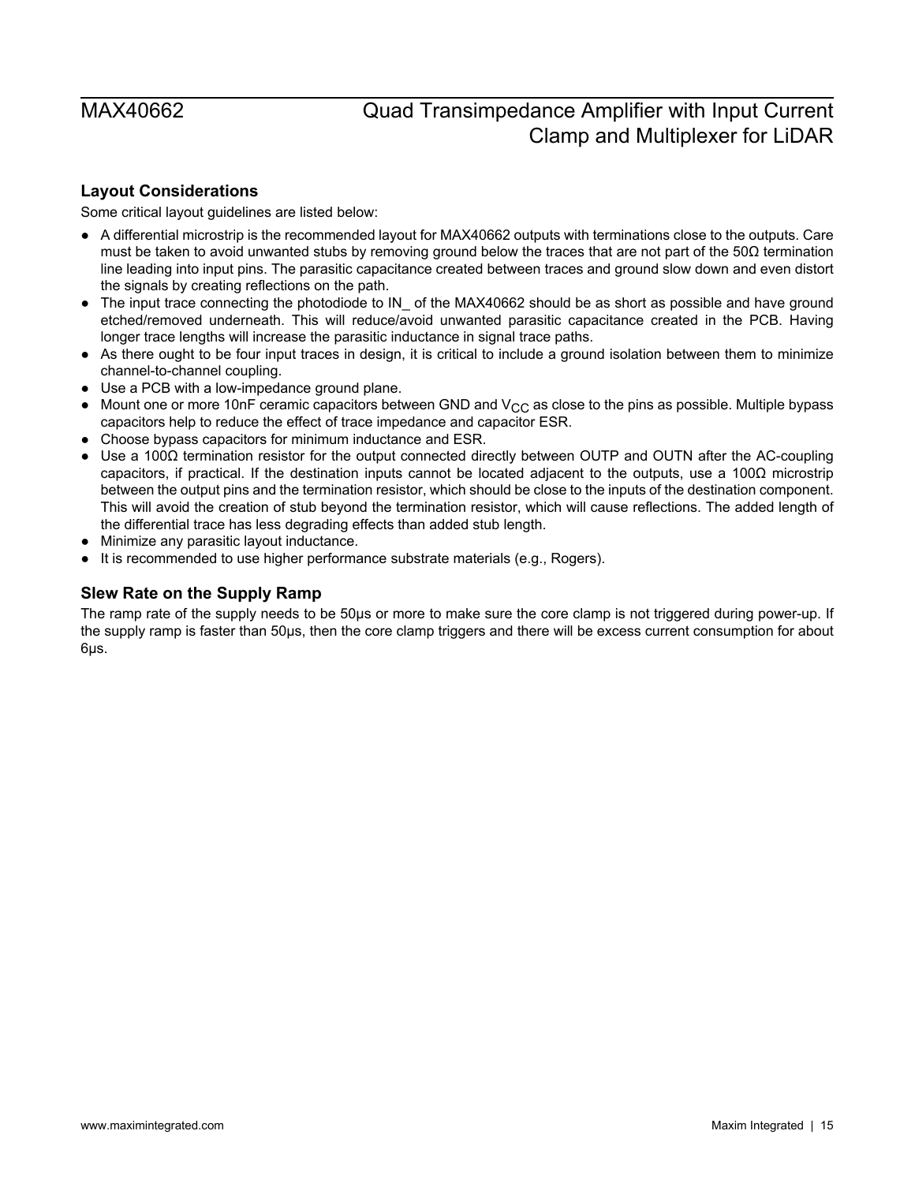### <span id="page-14-0"></span>**Layout Considerations**

Some critical layout guidelines are listed below:

- A differential microstrip is the recommended layout for MAX40662 outputs with terminations close to the outputs. Care must be taken to avoid unwanted stubs by removing ground below the traces that are not part of the 50Ω termination line leading into input pins. The parasitic capacitance created between traces and ground slow down and even distort the signals by creating reflections on the path.
- The input trace connecting the photodiode to IN of the MAX40662 should be as short as possible and have ground etched/removed underneath. This will reduce/avoid unwanted parasitic capacitance created in the PCB. Having longer trace lengths will increase the parasitic inductance in signal trace paths.
- As there ought to be four input traces in design, it is critical to include a ground isolation between them to minimize channel-to-channel coupling.
- Use a PCB with a low-impedance ground plane.
- Mount one or more 10nF ceramic capacitors between GND and  $V_{CC}$  as close to the pins as possible. Multiple bypass capacitors help to reduce the effect of trace impedance and capacitor ESR.
- Choose bypass capacitors for minimum inductance and ESR.
- Use a 100Ω termination resistor for the output connected directly between OUTP and OUTN after the AC-coupling capacitors, if practical. If the destination inputs cannot be located adjacent to the outputs, use a 100Ω microstrip between the output pins and the termination resistor, which should be close to the inputs of the destination component. This will avoid the creation of stub beyond the termination resistor, which will cause reflections. The added length of the differential trace has less degrading effects than added stub length.
- Minimize any parasitic layout inductance.
- It is recommended to use higher performance substrate materials (e.g., Rogers).

### <span id="page-14-1"></span>**Slew Rate on the Supply Ramp**

The ramp rate of the supply needs to be 50μs or more to make sure the core clamp is not triggered during power-up. If the supply ramp is faster than 50μs, then the core clamp triggers and there will be excess current consumption for about 6μs.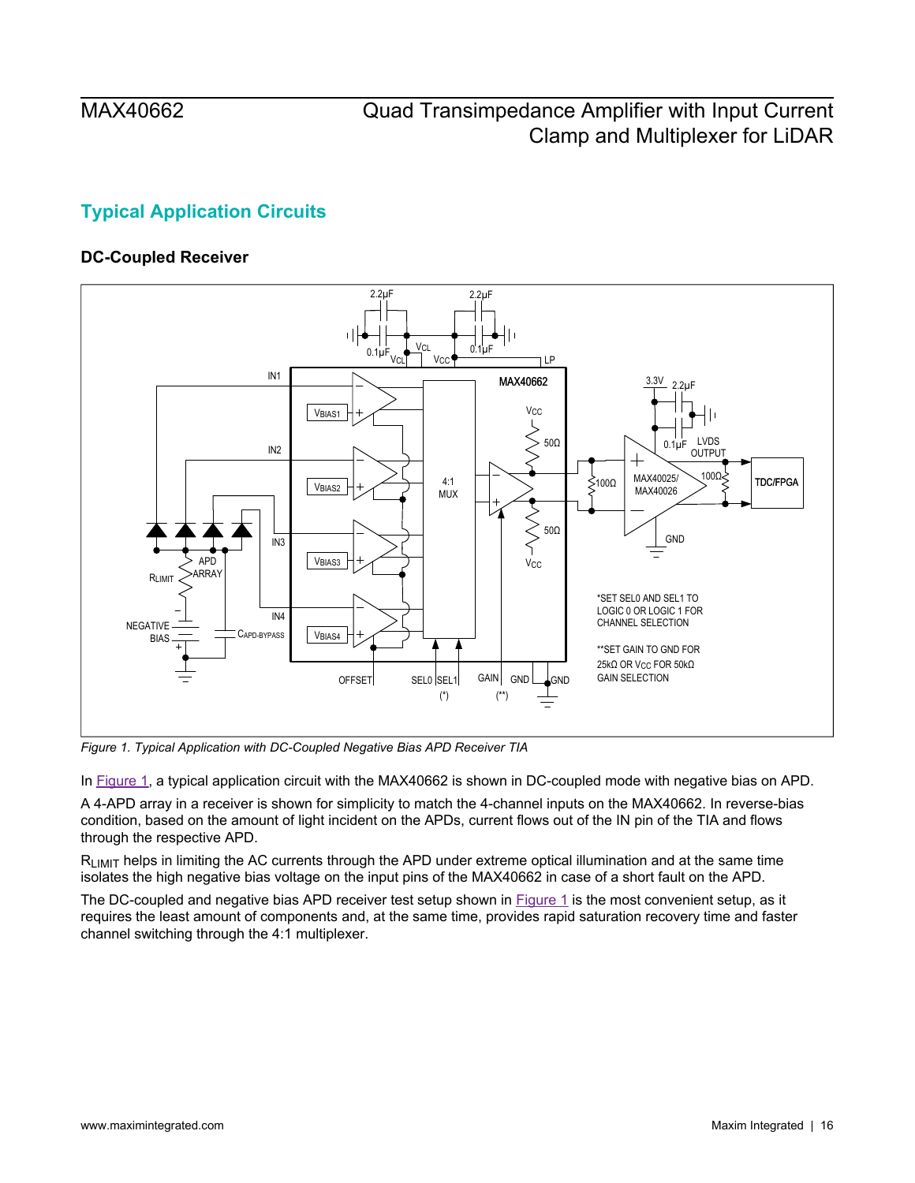# <span id="page-15-0"></span>**Typical Application Circuits**

## <span id="page-15-1"></span>**DC-Coupled Receiver**

<span id="page-15-2"></span>

*Figure 1. Typical Application with DC-Coupled Negative Bias APD Receiver TIA*

In [Figure 1](#page-15-2), a typical application circuit with the MAX40662 is shown in DC-coupled mode with negative bias on APD.

A 4-APD array in a receiver is shown for simplicity to match the 4-channel inputs on the MAX40662. In reverse-bias condition, based on the amount of light incident on the APDs, current flows out of the IN pin of the TIA and flows through the respective APD.

 $R<sub>l IMIT</sub>$  helps in limiting the AC currents through the APD under extreme optical illumination and at the same time isolates the high negative bias voltage on the input pins of the MAX40662 in case of a short fault on the APD.

The DC-coupled and negative bias APD receiver test setup shown in **[Figure 1](#page-15-2)** is the most convenient setup, as it requires the least amount of components and, at the same time, provides rapid saturation recovery time and faster channel switching through the 4:1 multiplexer.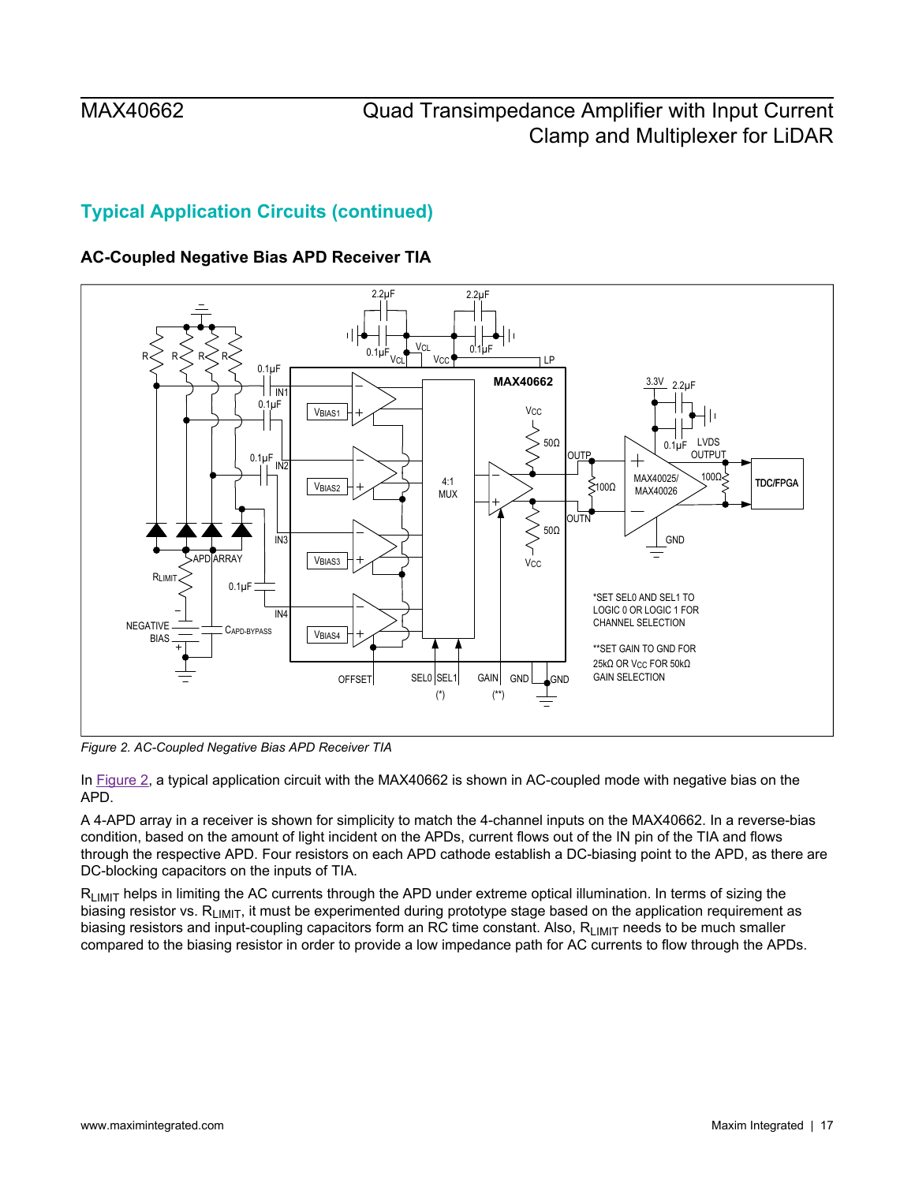## **Typical Application Circuits (continued)**

## <span id="page-16-0"></span>**AC-Coupled Negative Bias APD Receiver TIA**

<span id="page-16-1"></span>

*Figure 2. AC-Coupled Negative Bias APD Receiver TIA*

In [Figure 2](#page-16-1), a typical application circuit with the MAX40662 is shown in AC-coupled mode with negative bias on the APD.

A 4-APD array in a receiver is shown for simplicity to match the 4-channel inputs on the MAX40662. In a reverse-bias condition, based on the amount of light incident on the APDs, current flows out of the IN pin of the TIA and flows through the respective APD. Four resistors on each APD cathode establish a DC-biasing point to the APD, as there are DC-blocking capacitors on the inputs of TIA.

 $R<sub>l IMIT</sub>$  helps in limiting the AC currents through the APD under extreme optical illumination. In terms of sizing the biasing resistor vs. R<sub>LIMIT</sub>, it must be experimented during prototype stage based on the application requirement as biasing resistors and input-coupling capacitors form an RC time constant. Also, R<sub>LIMIT</sub> needs to be much smaller compared to the biasing resistor in order to provide a low impedance path for AC currents to flow through the APDs.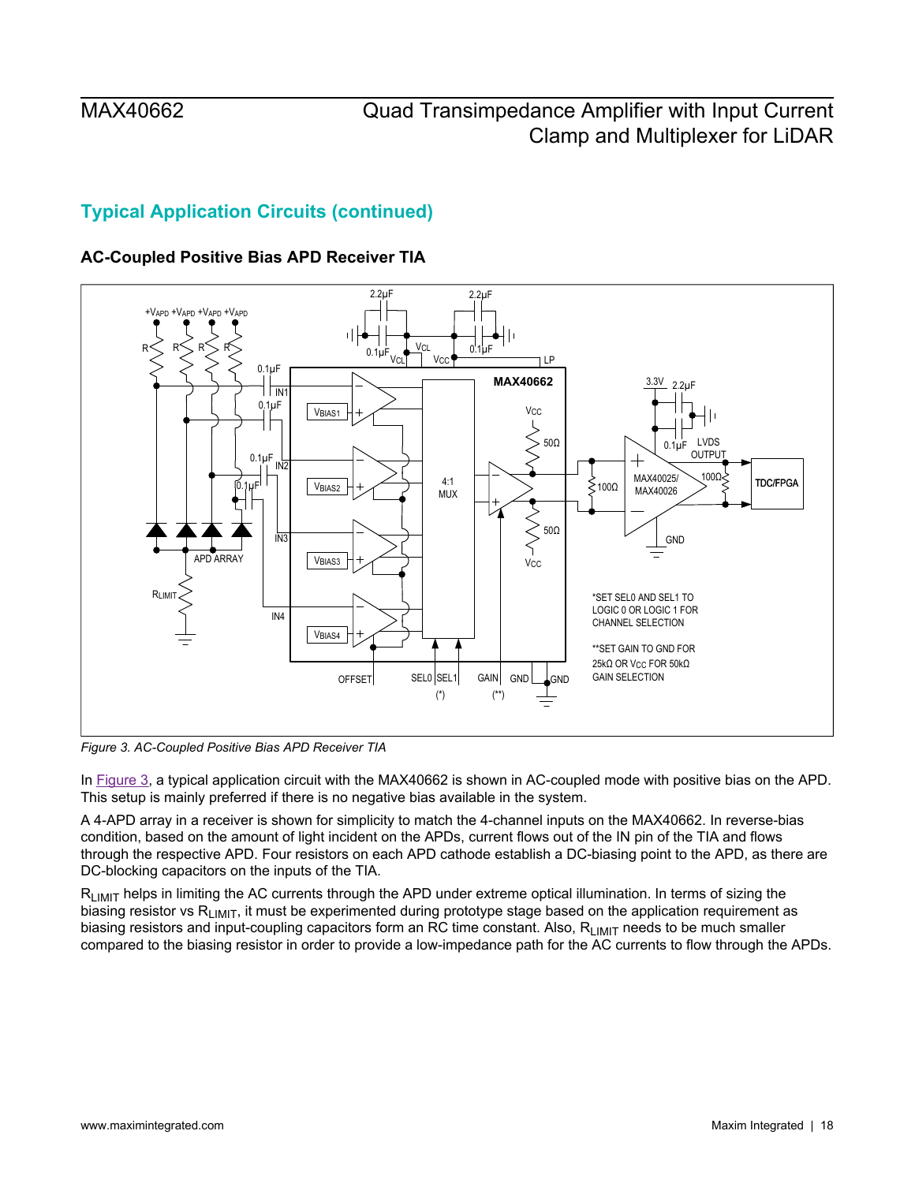## **Typical Application Circuits (continued)**

## <span id="page-17-0"></span>**AC-Coupled Positive Bias APD Receiver TIA**

<span id="page-17-1"></span>

*Figure 3. AC-Coupled Positive Bias APD Receiver TIA*

In [Figure 3](#page-17-1), a typical application circuit with the MAX40662 is shown in AC-coupled mode with positive bias on the APD. This setup is mainly preferred if there is no negative bias available in the system.

A 4-APD array in a receiver is shown for simplicity to match the 4-channel inputs on the MAX40662. In reverse-bias condition, based on the amount of light incident on the APDs, current flows out of the IN pin of the TIA and flows through the respective APD. Four resistors on each APD cathode establish a DC-biasing point to the APD, as there are DC-blocking capacitors on the inputs of the TIA.

 $R<sub>l IMIT</sub>$  helps in limiting the AC currents through the APD under extreme optical illumination. In terms of sizing the biasing resistor vs  $R_{LIMIT}$ , it must be experimented during prototype stage based on the application requirement as biasing resistors and input-coupling capacitors form an RC time constant. Also, R<sub>LIMIT</sub> needs to be much smaller compared to the biasing resistor in order to provide a low-impedance path for the AC currents to flow through the APDs.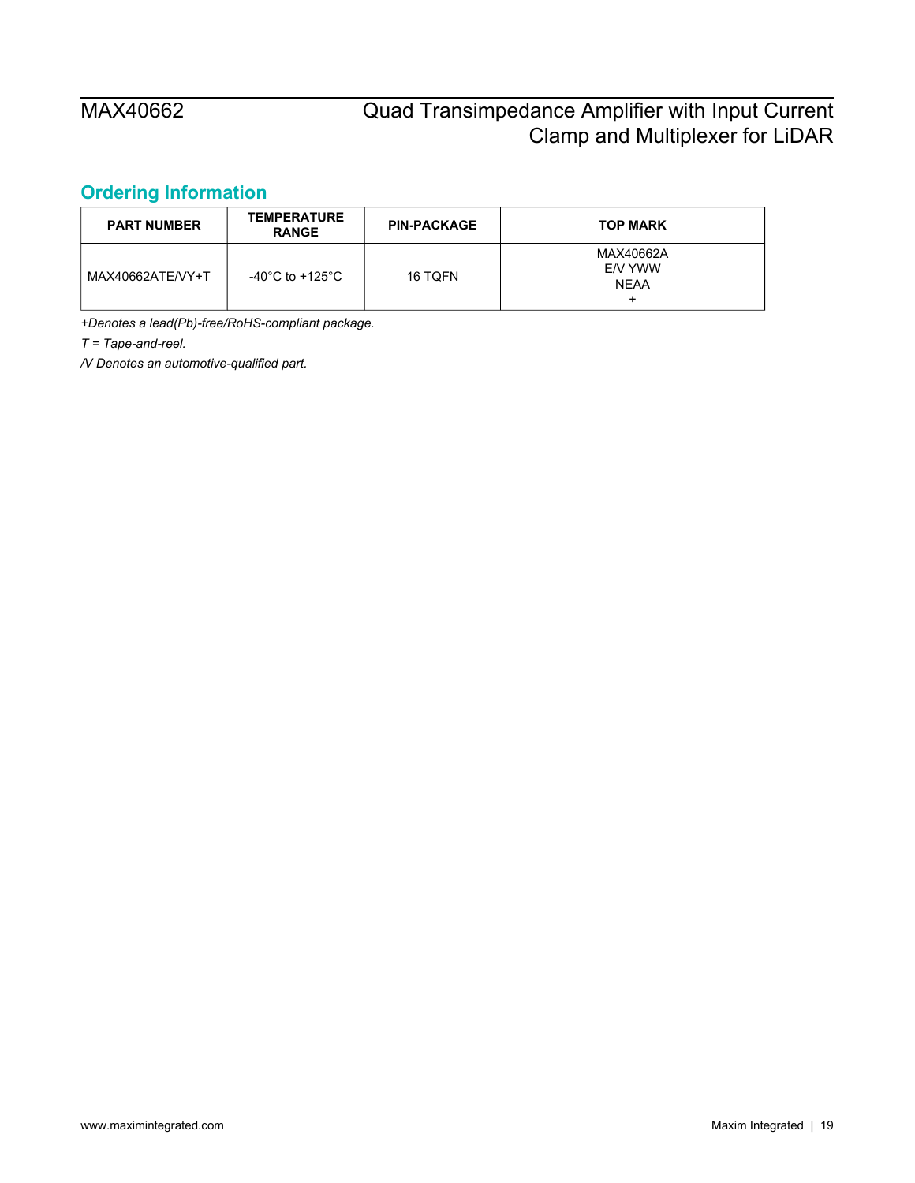## <span id="page-18-0"></span>**Ordering Information**

| <b>PART NUMBER</b> | <b>TEMPERATURE</b><br><b>RANGE</b> | <b>PIN-PACKAGE</b> | <b>TOP MARK</b>                     |
|--------------------|------------------------------------|--------------------|-------------------------------------|
| MAX40662ATE/VY+T   | -40°C to +125°C                    | 16 TOFN            | MAX40662A<br>E/V YWW<br><b>NEAA</b> |

*+Denotes a lead(Pb)-free/RoHS-compliant package.*

*T = Tape-and-reel.*

*/V Denotes an automotive-qualified part.*